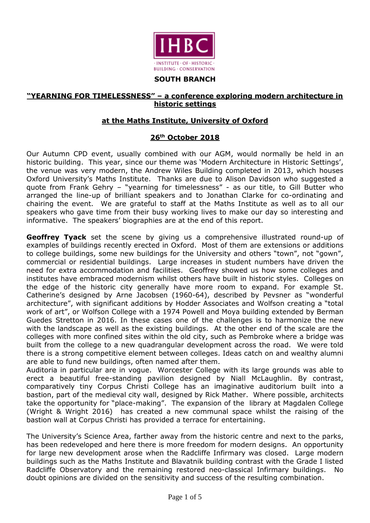

#### **SOUTH BRANCH**

### **"YEARNING FOR TIMELESSNESS" – a conference exploring modern architecture in historic settings**

### **at the Maths Institute, University of Oxford**

# **26th October 2018**

Our Autumn CPD event, usually combined with our AGM, would normally be held in an historic building. This year, since our theme was 'Modern Architecture in Historic Settings', the venue was very modern, the Andrew Wiles Building completed in 2013, which houses Oxford University's Maths Institute. Thanks are due to Alison Davidson who suggested a quote from Frank Gehry – "yearning for timelessness" - as our title, to Gill Butter who arranged the line-up of brilliant speakers and to Jonathan Clarke for co-ordinating and chairing the event. We are grateful to staff at the Maths Institute as well as to all our speakers who gave time from their busy working lives to make our day so interesting and informative. The speakers' biographies are at the end of this report.

**Geoffrey Tyack** set the scene by giving us a comprehensive illustrated round-up of examples of buildings recently erected in Oxford. Most of them are extensions or additions to college buildings, some new buildings for the University and others "town", not "gown", commercial or residential buildings. Large increases in student numbers have driven the need for extra accommodation and facilities. Geoffrey showed us how some colleges and institutes have embraced modernism whilst others have built in historic styles. Colleges on the edge of the historic city generally have more room to expand. For example St. Catherine's designed by Arne Jacobsen (1960-64), described by Pevsner as "wonderful architecture", with significant additions by Hodder Associates and Wolfson creating a "total work of art", or Wolfson College with a 1974 Powell and Moya building extended by Berman Guedes Stretton in 2016. In these cases one of the challenges is to harmonize the new with the landscape as well as the existing buildings. At the other end of the scale are the colleges with more confined sites within the old city, such as Pembroke where a bridge was built from the college to a new quadrangular development across the road. We were told there is a strong competitive element between colleges. Ideas catch on and wealthy alumni are able to fund new buildings, often named after them.

Auditoria in particular are in vogue. Worcester College with its large grounds was able to erect a beautiful free-standing pavilion designed by Niall McLaughlin. By contrast, comparatively tiny Corpus Christi College has an imaginative auditorium built into a bastion, part of the medieval city wall, designed by Rick Mather. Where possible, architects take the opportunity for "place-making". The expansion of the library at Magdalen College (Wright & Wright 2016) has created a new communal space whilst the raising of the bastion wall at Corpus Christi has provided a terrace for entertaining.

The University's Science Area, farther away from the historic centre and next to the parks, has been redeveloped and here there is more freedom for modern designs. An opportunity for large new development arose when the Radcliffe Infirmary was closed. Large modern buildings such as the Maths Institute and Blavatnik building contrast with the Grade I listed Radcliffe Observatory and the remaining restored neo-classical Infirmary buildings. No doubt opinions are divided on the sensitivity and success of the resulting combination.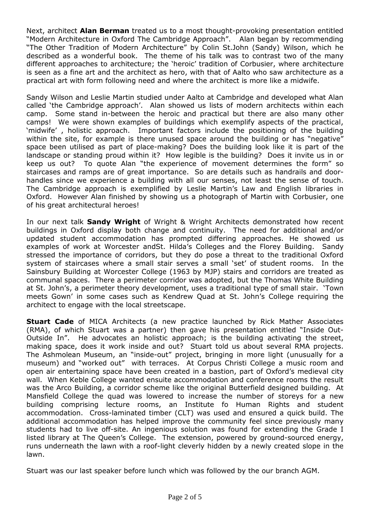Next, architect **Alan Berman** treated us to a most thought-provoking presentation entitled "Modern Architecture in Oxford The Cambridge Approach". Alan began by recommending "The Other Tradition of Modern Architecture" by Colin St.John (Sandy) Wilson, which he described as a wonderful book. The theme of his talk was to contrast two of the many different approaches to architecture; the 'heroic' tradition of Corbusier, where architecture is seen as a fine art and the architect as hero, with that of Aalto who saw architecture as a practical art with form following need and where the architect is more like a midwife.

Sandy Wilson and Leslie Martin studied under Aalto at Cambridge and developed what Alan called 'the Cambridge approach'. Alan showed us lists of modern architects within each camp. Some stand in-between the heroic and practical but there are also many other camps! We were shown examples of buildings which exemplify aspects of the practical, 'midwife' , holistic approach. Important factors include the positioning of the building within the site, for example is there unused space around the building or has "negative" space been utilised as part of place-making? Does the building look like it is part of the landscape or standing proud within it? How legible is the building? Does it invite us in or keep us out? To quote Alan "the experience of movement determines the form" so staircases and ramps are of great importance. So are details such as handrails and doorhandles since we experience a building with all our senses, not least the sense of touch. The Cambridge approach is exemplified by Leslie Martin's Law and English libraries in Oxford. However Alan finished by showing us a photograph of Martin with Corbusier, one of his great architectural heroes!

In our next talk **Sandy Wright** of Wright & Wright Architects demonstrated how recent buildings in Oxford display both change and continuity. The need for additional and/or updated student accommodation has prompted differing approaches. He showed us examples of work at Worcester andSt. Hilda's Colleges and the Florey Building. Sandy stressed the importance of corridors, but they do pose a threat to the traditional Oxford system of staircases where a small stair serves a small 'set' of student rooms. In the Sainsbury Building at Worcester College (1963 by MJP) stairs and corridors are treated as communal spaces. There a perimeter corridor was adopted, but the Thomas White Building at St. John's, a perimeter theory development, uses a traditional type of small stair. 'Town meets Gown' in some cases such as Kendrew Quad at St. John's College requiring the architect to engage with the local streetscape.

**Stuart Cade** of MICA Architects (a new practice launched by Rick Mather Associates (RMA), of which Stuart was a partner) then gave his presentation entitled "Inside Out-Outside In". He advocates an holistic approach; is the building activating the street, making space, does it work inside and out? Stuart told us about several RMA projects. The Ashmolean Museum, an "inside-out" project, bringing in more light (unusually for a museum) and "worked out" with terraces. At Corpus Christi College a music room and open air entertaining space have been created in a bastion, part of Oxford's medieval city wall. When Keble College wanted ensuite accommodation and conference rooms the result was the Arco Building, a corridor scheme like the original Butterfield designed building. At Mansfield College the quad was lowered to increase the number of storeys for a new building comprising lecture rooms, an Institute fo Human Rights and student accommodation. Cross-laminated timber (CLT) was used and ensured a quick build. The additional accommodation has helped improve the community feel since previously many students had to live off-site. An ingenious solution was found for extending the Grade I listed library at The Queen's College. The extension, powered by ground-sourced energy, runs underneath the lawn with a roof-light cleverly hidden by a newly created slope in the lawn.

Stuart was our last speaker before lunch which was followed by the our branch AGM.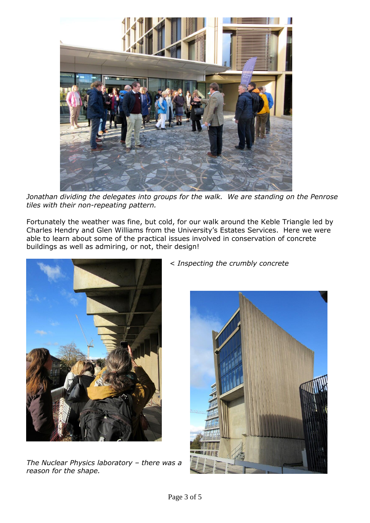

*Jonathan dividing the delegates into groups for the walk. We are standing on the Penrose tiles with their non-repeating pattern.*

Fortunately the weather was fine, but cold, for our walk around the Keble Triangle led by Charles Hendry and Glen Williams from the University's Estates Services. Here we were able to learn about some of the practical issues involved in conservation of concrete buildings as well as admiring, or not, their design!



*The Nuclear Physics laboratory – there was a reason for the shape.*

< *Inspecting the crumbly concrete*

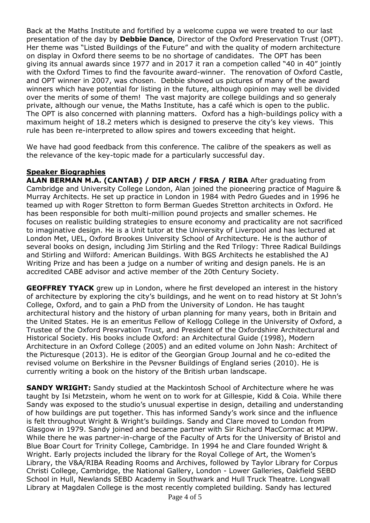Back at the Maths Institute and fortified by a welcome cuppa we were treated to our last presentation of the day by **Debbie Dance**, Director of the Oxford Preservation Trust (OPT). Her theme was "Listed Buildings of the Future" and with the quality of modern architecture on display in Oxford there seems to be no shortage of candidates. The OPT has been giving its annual awards since 1977 and in 2017 it ran a competion called "40 in 40" jointly with the Oxford Times to find the favourite award-winner. The renovation of Oxford Castle, and OPT winner in 2007, was chosen. Debbie showed us pictures of many of the award winners which have potential for listing in the future, although opinion may well be divided over the merits of some of them! The vast majority are college buildings and so generaly private, although our venue, the Maths Institute, has a café which is open to the public. The OPT is also concerned with planning matters. Oxford has a high-buildings policy with a maximum height of 18.2 meters which is designed to preserve the city's key views. This rule has been re-interpreted to allow spires and towers exceeding that height.

We have had good feedback from this conference. The calibre of the speakers as well as the relevance of the key-topic made for a particularly successful day.

# **Speaker Biographies**

**ALAN BERMAN M.A. (CANTAB) / DIP ARCH / FRSA / RIBA** After graduating from Cambridge and University College London, Alan joined the pioneering practice of Maguire & Murray Architects. He set up practice in London in 1984 with Pedro Guedes and in 1996 he teamed up with Roger Stretton to form Berman Guedes Stretton architects in Oxford. He has been responsible for both multi-million pound projects and smaller schemes. He focuses on realistic building strategies to ensure economy and practicality are not sacrificed to imaginative design. He is a Unit tutor at the University of Liverpool and has lectured at London Met, UEL, Oxford Brookes University School of Architecture. He is the author of several books on design, including Jim Stirling and the Red Trilogy: Three Radical Buildings and Stirling and Wilford: American Buildings. With BGS Architects he established the AJ Writing Prize and has been a judge on a number of writing and design panels. He is an accredited CABE advisor and active member of the 20th Century Society.

**GEOFFREY TYACK** grew up in London, where he first developed an interest in the history of architecture by exploring the city's buildings, and he went on to read history at St John's College, Oxford, and to gain a PhD from the University of London. He has taught architectural history and the history of urban planning for many years, both in Britain and the United States. He is an emeritus Fellow of Kellogg College in the University of Oxford, a Trustee of the Oxford Presrvation Trust, and President of the Oxfordshire Architectural and Historical Society. His books include Oxford: an Architectural Guide (1998), Modern Architecture in an Oxford College (2005) and an edited volume on John Nash: Architect of the Picturesque (2013). He is editor of the Georgian Group Journal and he co-edited the revised volume on Berkshire in the Pevsner Buildings of England series (2010). He is currently writing a book on the history of the British urban landscape.

**SANDY WRIGHT:** Sandy studied at the Mackintosh School of Architecture where he was taught by Isi Metzstein, whom he went on to work for at Gillespie, Kidd & Coia. While there Sandy was exposed to the studio's unusual expertise in design, detailing and understanding of how buildings are put together. This has informed Sandy's work since and the influence is felt throughout Wright & Wright's buildings. Sandy and Clare moved to London from Glasgow in 1979. Sandy joined and became partner with Sir Richard MacCormac at MJPW. While there he was partner-in-charge of the Faculty of Arts for the University of Bristol and Blue Boar Court for Trinity College, Cambridge. In 1994 he and Clare founded Wright & Wright. Early projects included the library for the Royal College of Art, the Women's Library, the V&A/RIBA Reading Rooms and Archives, followed by Taylor Library for Corpus Christi College, Cambridge, the National Gallery, London - Lower Galleries, Oakfield SEBD School in Hull, Newlands SEBD Academy in Southwark and Hull Truck Theatre. Longwall Library at Magdalen College is the most recently completed building. Sandy has lectured